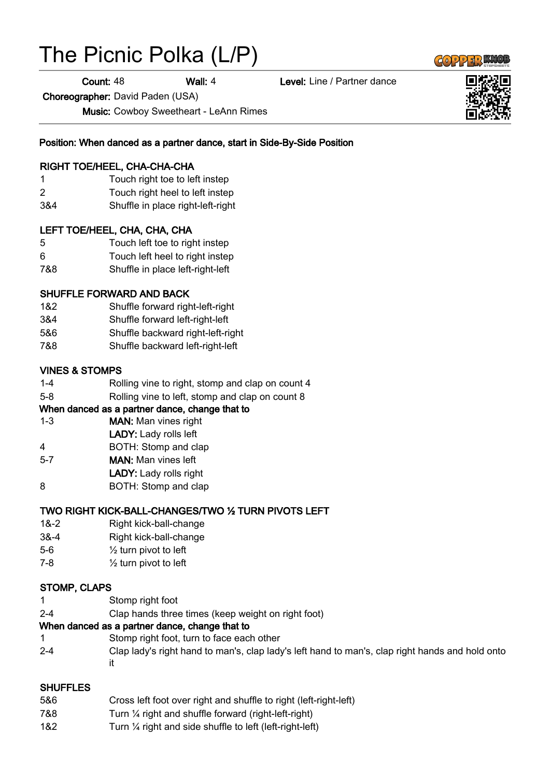# The Picnic Polka (L/P)

**Count: 48 Wall: 4 Level: Line / Partner dance** 

Choreographer: David Paden (USA)

Music: Cowboy Sweetheart - LeAnn Rimes

Position: When danced as a partner dance, start in Side-By-Side Position

## RIGHT TOE/HEEL, CHA-CHA-CHA

- 1 Touch right toe to left instep
- 2 Touch right heel to left instep
- 3&4 Shuffle in place right-left-right

#### LEFT TOE/HEEL, CHA, CHA, CHA

- 5 Touch left toe to right instep
- 6 Touch left heel to right instep
- 7&8 Shuffle in place left-right-left

#### SHUFFLE FORWARD AND BACK

- 1&2 Shuffle forward right-left-right
- 3&4 Shuffle forward left-right-left
- 5&6 Shuffle backward right-left-right
- 7&8 Shuffle backward left-right-left

#### VINES & STOMPS

- 1-4 Rolling vine to right, stomp and clap on count 4
- 5-8 Rolling vine to left, stomp and clap on count 8

#### When danced as a partner dance, change that to

- 1-3 MAN: Man vines right
- LADY: Lady rolls left
- 4 BOTH: Stomp and clap
- 5-7 MAN: Man vines left
- LADY: Lady rolls right
- 8 **BOTH:** Stomp and clap

## TWO RIGHT KICK-BALL-CHANGES/TWO ½ TURN PIVOTS LEFT

- 1&-2 Right kick-ball-change
- 3&-4 Right kick-ball-change
- 5-6 ½ turn pivot to left
- 7-8 ½ turn pivot to left

#### STOMP, CLAPS

- 1 Stomp right foot
- 2-4 Clap hands three times (keep weight on right foot)

#### When danced as a partner dance, change that to

- 1 Stomp right foot, turn to face each other
- 2-4 Clap lady's right hand to man's, clap lady's left hand to man's, clap right hands and hold onto it

#### SHUFFLES

- 5&6 Cross left foot over right and shuffle to right (left-right-left)
- 7&8 Turn ¼ right and shuffle forward (right-left-right)
- 1&2 Turn ¼ right and side shuffle to left (left-right-left)